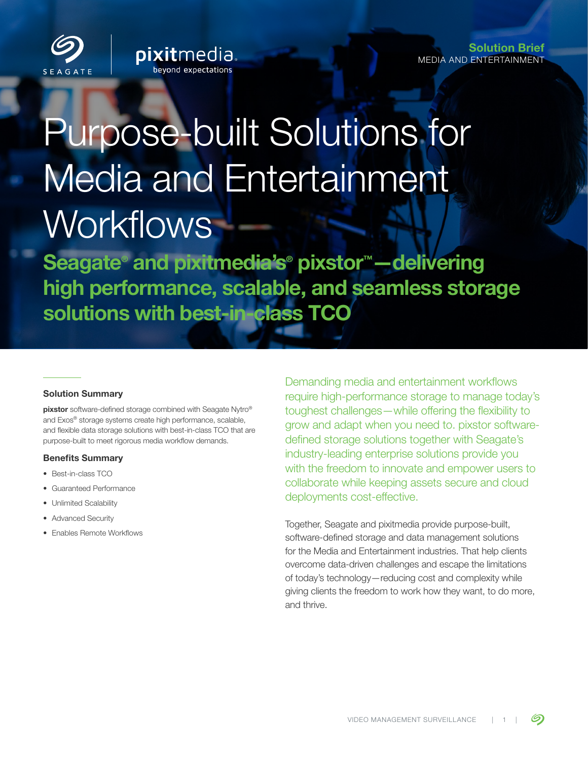

Solution Brief MEDIA AND ENTERTAINMENT

# Purpose-built Solutions for Media and Entertainment Workflows

**pixitmedia** 

Seagate<sup>®</sup> and pixitmedia's<sup>®</sup> pixstor<sup>™</sup> —delivering high performance, scalable, and seamless storage solutions with best-in-class TCO

## Solution Summary

pixstor software-defined storage combined with Seagate Nytro® and Exos® storage systems create high performance, scalable, and flexible data storage solutions with best-in-class TCO that are purpose-built to meet rigorous media workflow demands.

#### Benefits Summary

- Best-in-class TCO
- Guaranteed Performance
- Unlimited Scalability
- Advanced Security
- Enables Remote Workflows

Demanding media and entertainment workflows require high-performance storage to manage today's toughest challenges—while offering the flexibility to grow and adapt when you need to. pixstor softwaredefined storage solutions together with Seagate's industry-leading enterprise solutions provide you with the freedom to innovate and empower users to collaborate while keeping assets secure and cloud deployments cost-effective.

Together, Seagate and pixitmedia provide purpose-built, software-defined storage and data management solutions for the Media and Entertainment industries. That help clients overcome data-driven challenges and escape the limitations of today's technology—reducing cost and complexity while giving clients the freedom to work how they want, to do more, and thrive.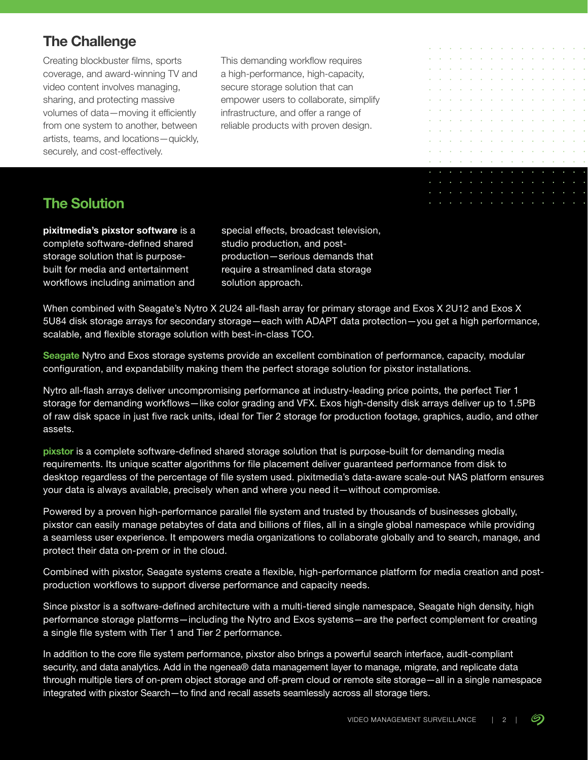# **The Challenge**

Creating blockbuster films, sports coverage, and award-winning TV and video content involves managing, sharing, and protecting massive volumes of data—moving it efficiently from one system to another, between artists, teams, and locations—quickly, securely, and cost-effectively.

This demanding workflow requires a high-performance, high-capacity, secure storage solution that can empower users to collaborate, simplify infrastructure, and offer a range of reliable products with proven design.

# **The Solution**

pixitmedia's pixstor software is a complete software-defined shared storage solution that is purposebuilt for media and entertainment workflows including animation and

special effects, broadcast television, studio production, and postproduction—serious demands that require a streamlined data storage solution approach.

When combined with Seagate's Nytro X 2U24 all-flash array for primary storage and Exos X 2U12 and Exos X 5U84 disk storage arrays for secondary storage—each with ADAPT data protection—you get a high performance, scalable, and flexible storage solution with best-in-class TCO.

Seagate Nytro and Exos storage systems provide an excellent combination of performance, capacity, modular configuration, and expandability making them the perfect storage solution for pixstor installations.

Nytro all-flash arrays deliver uncompromising performance at industry-leading price points, the perfect Tier 1 storage for demanding workflows—like color grading and VFX. Exos high-density disk arrays deliver up to 1.5PB of raw disk space in just five rack units, ideal for Tier 2 storage for production footage, graphics, audio, and other assets.

pixstor is a complete software-defined shared storage solution that is purpose-built for demanding media requirements. Its unique scatter algorithms for file placement deliver guaranteed performance from disk to desktop regardless of the percentage of file system used. pixitmedia's data-aware scale-out NAS platform ensures your data is always available, precisely when and where you need it—without compromise.

Powered by a proven high-performance parallel file system and trusted by thousands of businesses globally, pixstor can easily manage petabytes of data and billions of files, all in a single global namespace while providing a seamless user experience. It empowers media organizations to collaborate globally and to search, manage, and protect their data on-prem or in the cloud.

Combined with pixstor, Seagate systems create a flexible, high-performance platform for media creation and postproduction workflows to support diverse performance and capacity needs.

Since pixstor is a software-defined architecture with a multi-tiered single namespace, Seagate high density, high performance storage platforms—including the Nytro and Exos systems—are the perfect complement for creating a single file system with Tier 1 and Tier 2 performance.

In addition to the core file system performance, pixstor also brings a powerful search interface, audit-compliant security, and data analytics. Add in the ngenea® data management layer to manage, migrate, and replicate data through multiple tiers of on-prem object storage and off-prem cloud or remote site storage—all in a single namespace integrated with pixstor Search—to find and recall assets seamlessly across all storage tiers.

÷.

 $\sim$   $\sim$   $\sim$